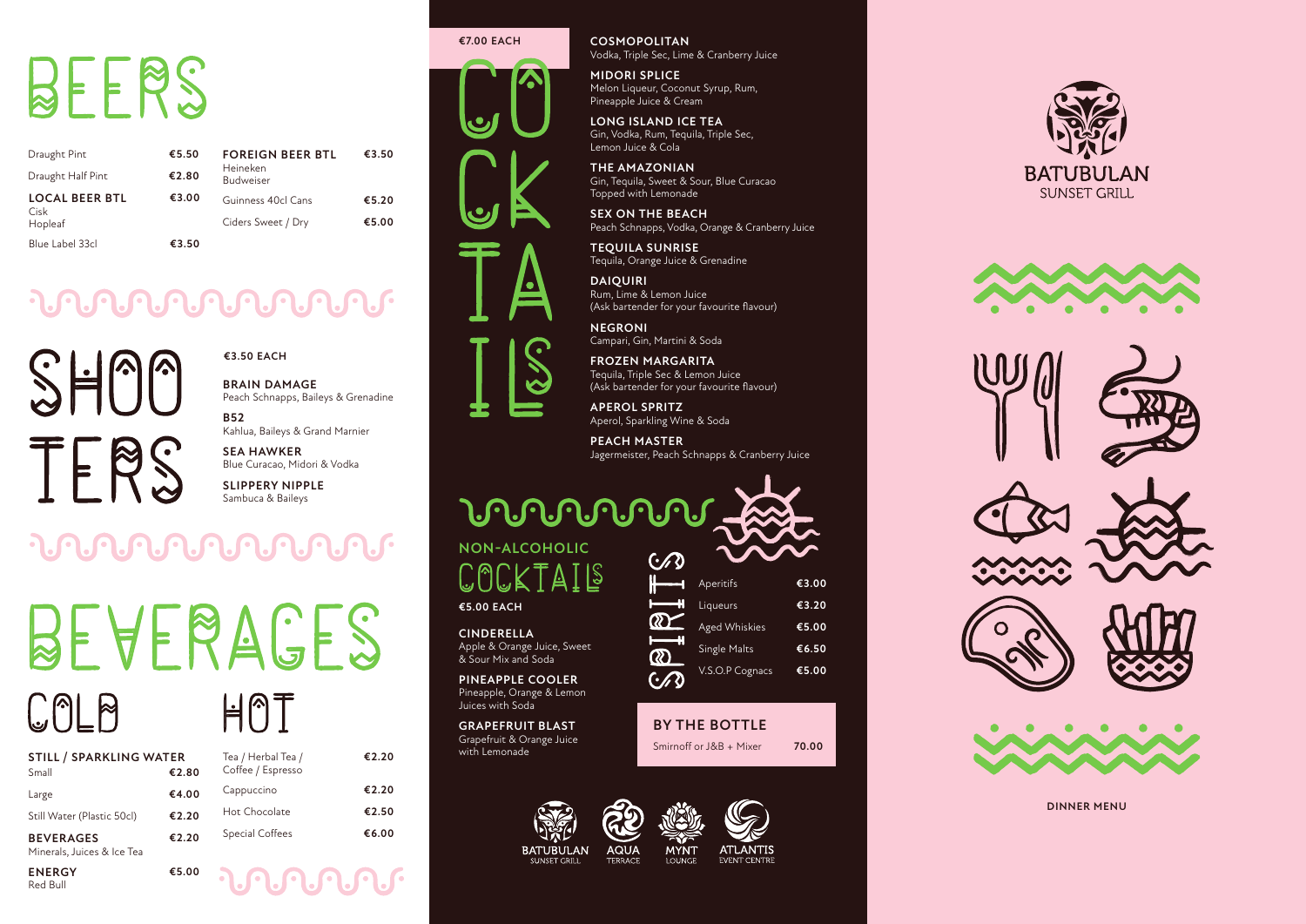**DINNER MENU**

**€3.50 EACH**

| <b>STILL / SPARKLING WATER</b> |       | Tea $/$  |
|--------------------------------|-------|----------|
| Small                          | €2.80 | $C$ offe |
| Large                          | €4.00 | Capp     |
| Still Water (Plastic 50cl)     | €2.20 | Hot (    |
| <b>BEVERAGES</b>               | €2.20 | Spec     |

Minerals, Juices & Ice Tea

# BEERS

| Draught Pint                  | €5.50 | <b>FOREIGN BEER BTL</b>      | €3.50 |
|-------------------------------|-------|------------------------------|-------|
| Draught Half Pint             | €2.80 | Heineken<br><b>Budweiser</b> |       |
| <b>LOCAL BEER BTL</b><br>Cisk | €3.00 | Guinness 40cl Cans           | €5.20 |
| Hopleaf                       |       | Ciders Sweet / Dry           | €5.00 |
| Blue Label 33cl               | €3.50 |                              |       |

### 

 $\overline{\phantom{a}}$ TFRS

**ENERGY** Red Bull

HMT Herbal Tea / ee / Espresso

**€5.00**

**MIDORI SPLICE** Melon Liqueur, Coconut Syrup, Rum, Pineapple Juice & Cream

**€2.20**

| Cappuccino      | €2.20 |
|-----------------|-------|
| Hot Chocolate   | €2.50 |
| Special Coffees | €6.00 |
|                 |       |

**BRAIN DAMAGE** Peach Schnapps, Baileys & Grenadine

**B52** Kahlua, Baileys & Grand Marnier

**SEA HAWKER** Blue Curacao, Midori & Vodka

**SLIPPERY NIPPLE** Sambuca & Baileys

### **MARAMAR**

# BEALBUCES  $COLB$

**COSMOPOLITAN** Vodka, Triple Sec, Lime & Cranberry Juice

#### **URANDAN NON-ALCOHOLIC**  $\bigcap$   $\bigcup$ **€5.00 EACH CINDERELLA**

**LONG ISLAND ICE TEA** Gin, Vodka, Rum, Tequila, Triple Sec, Lemon Juice & Cola

**THE AMAZONIAN** Gin, Tequila, Sweet & Sour, Blue Curacao Topped with Lemonade

**SEX ON THE BEACH** Peach Schnapps, Vodka, Orange & Cranberry Juice

**TEQUILA SUNRISE** Tequila, Orange Juice & Grenadine

**DAIQUIRI** Rum, Lime & Lemon Juice (Ask bartender for your favourite flavour)

**NEGRONI** Campari, Gin, Martini & Soda

**FROZEN MARGARITA** Tequila, Triple Sec & Lemon Juice (Ask bartender for your favourite flavour)

**APEROL SPRITZ** Aperol, Sparkling Wine & Soda

**PEACH MASTER** Jagermeister, Peach Schnapps & Cranberry Juice

Apple & Orange Juice, Sweet & Sour Mix and Soda

**PINEAPPLE COOLER** Pineapple, Orange & Lemon Juices with Soda

**GRAPEFRUIT BLAST** Grapefruit & Orange Juice with Lemonade



Smirnoff or J&B + Mixer **70.00 BY THE BOTTLE**



**SUNSET GRILL** 

TERRACE



**LOUNGE** 

**ATLANTIS** EVENT CENTRE









| $\cdot$  |                 |       |
|----------|-----------------|-------|
|          | Aperitifs       | €3.00 |
| H        | Liqueurs        | €3.20 |
| <b>X</b> | Aged Whiskies   | €5.00 |
| <b>Q</b> | Single Malts    | €6.50 |
| C        | V.S.O.P Cognacs | €5.00 |